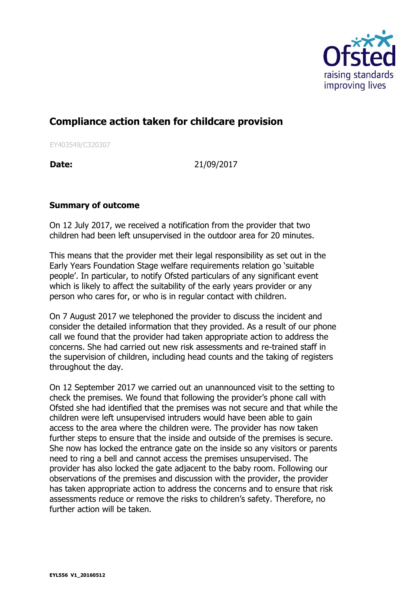

## **Compliance action taken for childcare provision**

EY403549/C320307

**Date:** 21/09/2017

## **Summary of outcome**

On 12 July 2017, we received a notification from the provider that two children had been left unsupervised in the outdoor area for 20 minutes.

This means that the provider met their legal responsibility as set out in the Early Years Foundation Stage welfare requirements relation go 'suitable people'. In particular, to notify Ofsted particulars of any significant event which is likely to affect the suitability of the early years provider or any person who cares for, or who is in regular contact with children.

On 7 August 2017 we telephoned the provider to discuss the incident and consider the detailed information that they provided. As a result of our phone call we found that the provider had taken appropriate action to address the concerns. She had carried out new risk assessments and re-trained staff in the supervision of children, including head counts and the taking of registers throughout the day.

On 12 September 2017 we carried out an unannounced visit to the setting to check the premises. We found that following the provider's phone call with Ofsted she had identified that the premises was not secure and that while the children were left unsupervised intruders would have been able to gain access to the area where the children were. The provider has now taken further steps to ensure that the inside and outside of the premises is secure. She now has locked the entrance gate on the inside so any visitors or parents need to ring a bell and cannot access the premises unsupervised. The provider has also locked the gate adjacent to the baby room. Following our observations of the premises and discussion with the provider, the provider has taken appropriate action to address the concerns and to ensure that risk assessments reduce or remove the risks to children's safety. Therefore, no further action will be taken.